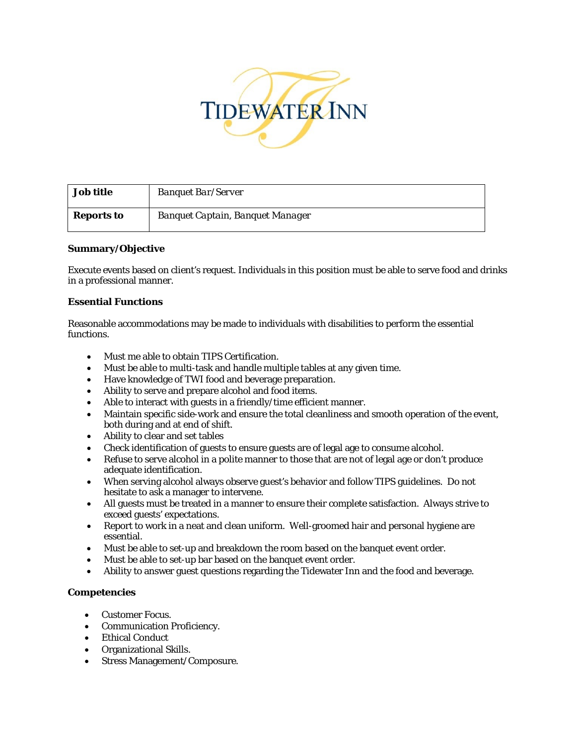

| <b>Job title</b> | <b>Banquet Bar/Server</b>        |
|------------------|----------------------------------|
| Reports to       | Banquet Captain, Banquet Manager |

# **Summary/Objective**

Execute events based on client's request. Individuals in this position must be able to serve food and drinks in a professional manner.

## **Essential Functions**

Reasonable accommodations may be made to individuals with disabilities to perform the essential functions.

- Must me able to obtain TIPS Certification.
- Must be able to multi-task and handle multiple tables at any given time.
- Have knowledge of TWI food and beverage preparation.
- Ability to serve and prepare alcohol and food items.
- Able to interact with guests in a friendly/time efficient manner.
- Maintain specific side-work and ensure the total cleanliness and smooth operation of the event, both during and at end of shift.
- Ability to clear and set tables
- Check identification of guests to ensure guests are of legal age to consume alcohol.
- Refuse to serve alcohol in a polite manner to those that are not of legal age or don't produce adequate identification.
- When serving alcohol always observe guest's behavior and follow TIPS guidelines. Do not hesitate to ask a manager to intervene.
- All guests must be treated in a manner to ensure their complete satisfaction. Always strive to exceed guests' expectations.
- Report to work in a neat and clean uniform. Well-groomed hair and personal hygiene are essential.
- Must be able to set-up and breakdown the room based on the banquet event order.
- Must be able to set-up bar based on the banquet event order.
- Ability to answer guest questions regarding the Tidewater Inn and the food and beverage.

## **Competencies**

- Customer Focus.
- Communication Proficiency.
- Ethical Conduct
- Organizational Skills.
- Stress Management/Composure.